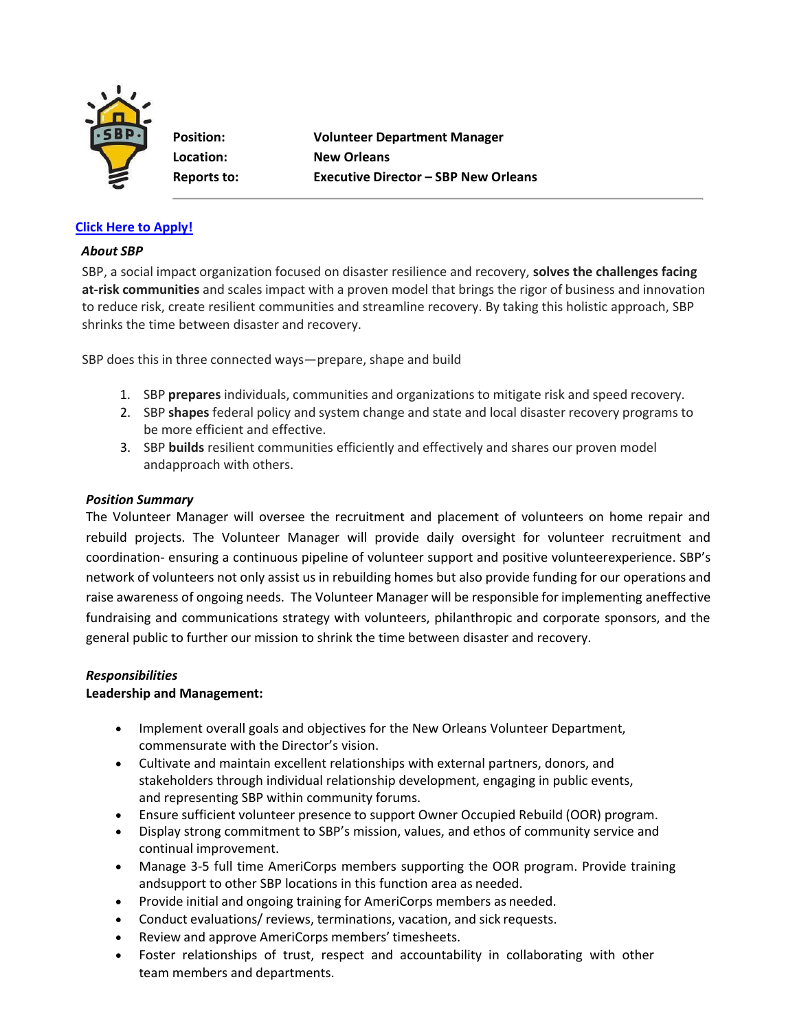

**Position: Volunteer Department Manager Location: New Orleans Reports to: Executive Director – SBP New Orleans**

## **[Click Here to Apply!](https://recruiting.paylocity.com/recruiting/jobs/Apply/1101092/SBP/Volunteer-Department-Manager)**

### *About SBP*

SBP, a social impact organization focused on disaster resilience and recovery, **solves the challenges facing at-risk communities** and scales impact with a proven model that brings the rigor of business and innovation to reduce risk, create resilient communities and streamline recovery. By taking this holistic approach, SBP shrinks the time between disaster and recovery.

SBP does this in three connected ways—prepare, shape and build

- 1. SBP **prepares** individuals, communities and organizations to mitigate risk and speed recovery.
- 2. SBP **shapes** federal policy and system change and state and local disaster recovery programs to be more efficient and effective.
- 3. SBP **builds** resilient communities efficiently and effectively and shares our proven model andapproach with others.

### *Position Summary*

The Volunteer Manager will oversee the recruitment and placement of volunteers on home repair and rebuild projects. The Volunteer Manager will provide daily oversight for volunteer recruitment and coordination- ensuring a continuous pipeline of volunteer support and positive volunteerexperience. SBP's network of volunteers not only assist us in rebuilding homes but also provide funding for our operations and raise awareness of ongoing needs. The Volunteer Manager will be responsible for implementing aneffective fundraising and communications strategy with volunteers, philanthropic and corporate sponsors, and the general public to further our mission to shrink the time between disaster and recovery.

### *Responsibilities*

### **Leadership and Management:**

- Implement overall goals and objectives for the New Orleans Volunteer Department, commensurate with the Director's vision.
- Cultivate and maintain excellent relationships with external partners, donors, and stakeholders through individual relationship development, engaging in public events, and representing SBP within community forums.
- Ensure sufficient volunteer presence to support Owner Occupied Rebuild (OOR) program.
- Display strong commitment to SBP's mission, values, and ethos of community service and continual improvement.
- Manage 3-5 full time AmeriCorps members supporting the OOR program. Provide training andsupport to other SBP locations in this function area as needed.
- Provide initial and ongoing training for AmeriCorps members as needed.
- Conduct evaluations/ reviews, terminations, vacation, and sick requests.
- Review and approve AmeriCorps members' timesheets.
- Foster relationships of trust, respect and accountability in collaborating with other team members and departments.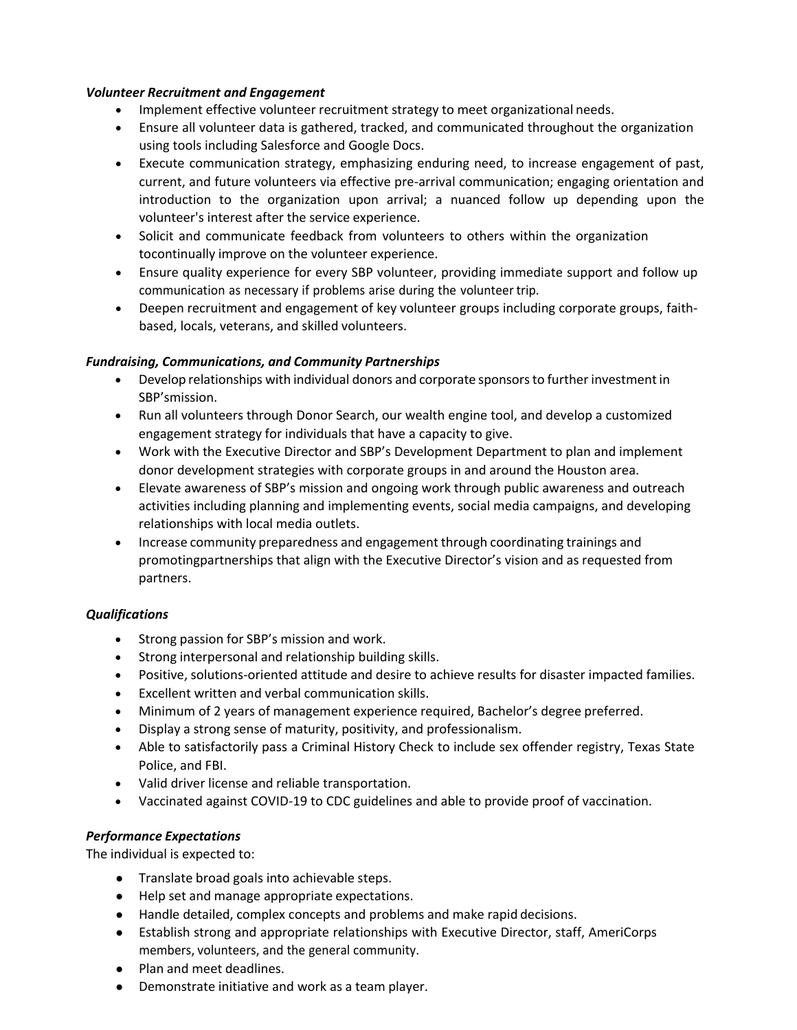#### *Volunteer Recruitment and Engagement*

- Implement effective volunteer recruitment strategy to meet organizational needs.
- Ensure all volunteer data is gathered, tracked, and communicated throughout the organization using tools including Salesforce and Google Docs.
- Execute communication strategy, emphasizing enduring need, to increase engagement of past, current, and future volunteers via effective pre-arrival communication; engaging orientation and introduction to the organization upon arrival; a nuanced follow up depending upon the volunteer's interest after the service experience.
- Solicit and communicate feedback from volunteers to others within the organization tocontinually improve on the volunteer experience.
- Ensure quality experience for every SBP volunteer, providing immediate support and follow up communication as necessary if problems arise during the volunteer trip.
- Deepen recruitment and engagement of key volunteer groups including corporate groups, faithbased, locals, veterans, and skilled volunteers.

### *Fundraising, Communications, and Community Partnerships*

- Develop relationships with individual donors and corporate sponsorsto further investmentin SBP'smission.
- Run all volunteers through Donor Search, our wealth engine tool, and develop a customized engagement strategy for individuals that have a capacity to give.
- Work with the Executive Director and SBP's Development Department to plan and implement donor development strategies with corporate groups in and around the Houston area.
- Elevate awareness of SBP's mission and ongoing work through public awareness and outreach activities including planning and implementing events, social media campaigns, and developing relationships with local media outlets.
- Increase community preparedness and engagement through coordinating trainings and promotingpartnerships that align with the Executive Director's vision and as requested from partners.

# *Qualifications*

- Strong passion for SBP's mission and work.
- Strong interpersonal and relationship building skills.
- Positive, solutions-oriented attitude and desire to achieve results for disaster impacted families.
- Excellent written and verbal communication skills.
- Minimum of 2 years of management experience required, Bachelor's degree preferred.
- Display a strong sense of maturity, positivity, and professionalism.
- Able to satisfactorily pass a Criminal History Check to include sex offender registry, Texas State Police, and FBI.
- Valid driver license and reliable transportation.
- Vaccinated against COVID-19 to CDC guidelines and able to provide proof of vaccination.

### *Performance Expectations*

The individual is expected to:

- Translate broad goals into achievable steps.
- Help set and manage appropriate expectations.
- Handle detailed, complex concepts and problems and make rapid decisions.
- Establish strong and appropriate relationships with Executive Director, staff, AmeriCorps members, volunteers, and the general community.
- Plan and meet deadlines.
- Demonstrate initiative and work as a team player.